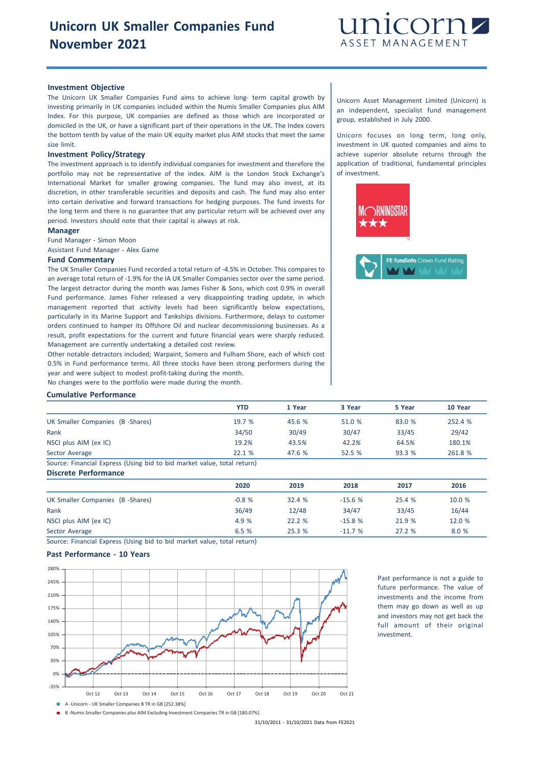

# **Investment Objective**

The Unicorn UK Smaller Companies Fund aims to achieve long- term capital growth by investing primarily in UK companies included within the Numis Smaller Companies plus AIM Index. For this purpose, UK companies are defined as those which are incorporated or domiciled in the UK, or have a significant part of their operations in the UK. The Index covers the bottom tenth by value of the main UK equity market plus AIM stocks that meet the same size limit.

#### **Investment Policy/Strategy**

The investment approach is to identify individual companies for investment and therefore the portfolio may not be representative of the index. AIM is the London Stock Exchange's International Market for smaller growing companies. The fund may also invest, at its discretion, in other transferable securities and deposits and cash. The fund may also enter into certain derivative and forward transactions for hedging purposes. The fund invests for the long term and there is no guarantee that any particular return will be achieved over any period. Investors should note that their capital is always at risk.

#### **Manager**

Fund Manager - Simon Moon

Assistant Fund Manager - Alex Game

### **Fund Commentary**

The UK Smaller Companies Fund recorded a total return of -4.5% in October. This compares to an average total return of -1.9% for the IA UK Smaller Companies sector over the same period. The largest detractor during the month was James Fisher & Sons, which cost 0.9% in overall Fund performance. James Fisher released a very disappointing trading update, in which management reported that activity levels had been significantly below expectations, particularly in its Marine Support and Tankships divisions. Furthermore, delays to customer orders continued to hamper its Offshore Oil and nuclear decommissioning businesses. As a result, profit expectations for the current and future financial years were sharply reduced. Management are currently undertaking a detailed cost review.

Other notable detractors included; Warpaint, Somero and Fulham Shore, each of which cost 0.5% in Fund performance terms. All three stocks have been strong performers during the year and were subject to modest profit-taking during the month.

No changes were to the portfolio were made during the month.

## **Cumulative Performance**

|                                                                        | YTD   | 1 Year | 3 Year | 5 Year | 10 Year |
|------------------------------------------------------------------------|-------|--------|--------|--------|---------|
| UK Smaller Companies (B -Shares)                                       | 19.7% | 45.6%  | 51.0 % | 83.0 % | 252.4 % |
| Rank                                                                   | 34/50 | 30/49  | 30/47  | 33/45  | 29/42   |
| NSCI plus AIM (ex IC)                                                  | 19.2% | 43.5%  | 42.2%  | 64.5%  | 180.1%  |
| Sector Average                                                         | 22.1% | 47.6 % | 52.5%  | 93.3%  | 261.8 % |
| Course: Einansial Evasors (Hsing bid to bid market value total return) |       |        |        |        |         |

Source: Financial Express (Using bid to bid market value, total return) **Discrete Performance**

| <b>PROFILIO I CITOLINING</b>     |         |       |          |        |        |
|----------------------------------|---------|-------|----------|--------|--------|
|                                  | 2020    | 2019  | 2018     | 2017   | 2016   |
| UK Smaller Companies (B -Shares) | $-0.8%$ | 32.4% | $-15.6%$ | 25.4%  | 10.0 % |
| Rank                             | 36/49   | 12/48 | 34/47    | 33/45  | 16/44  |
| NSCI plus AIM (ex IC)            | 4.9 %   | 22.2% | $-15.8%$ | 21.9 % | 12.0 % |
| Sector Average                   | 6.5%    | 25.3% | $-11.7%$ | 27.2%  | 8.0 %  |

Source: Financial Express (Using bid to bid market value, total return)

# **Past Performance - 10 Years**



Past performance is not a guide to future performance. The value of investments and the income from them may go down as well as up and investors may not get back the full amount of their original investment.

B -Numis Smaller Companies plus AIM Excluding Investment Companies TR in GB [180.07%]

31/10/2011 - 31/10/2021 Data from FE2021

Unicorn Asset Management Limited (Unicorn) is an independent, specialist fund management group, established in July 2000.

Unicorn focuses on long term, long only, investment in UK quoted companies and aims to achieve superior absolute returns through the application of traditional, fundamental principles of investment.





A -Unicorn - UK Smaller Companies B TR in GB [252.38%]